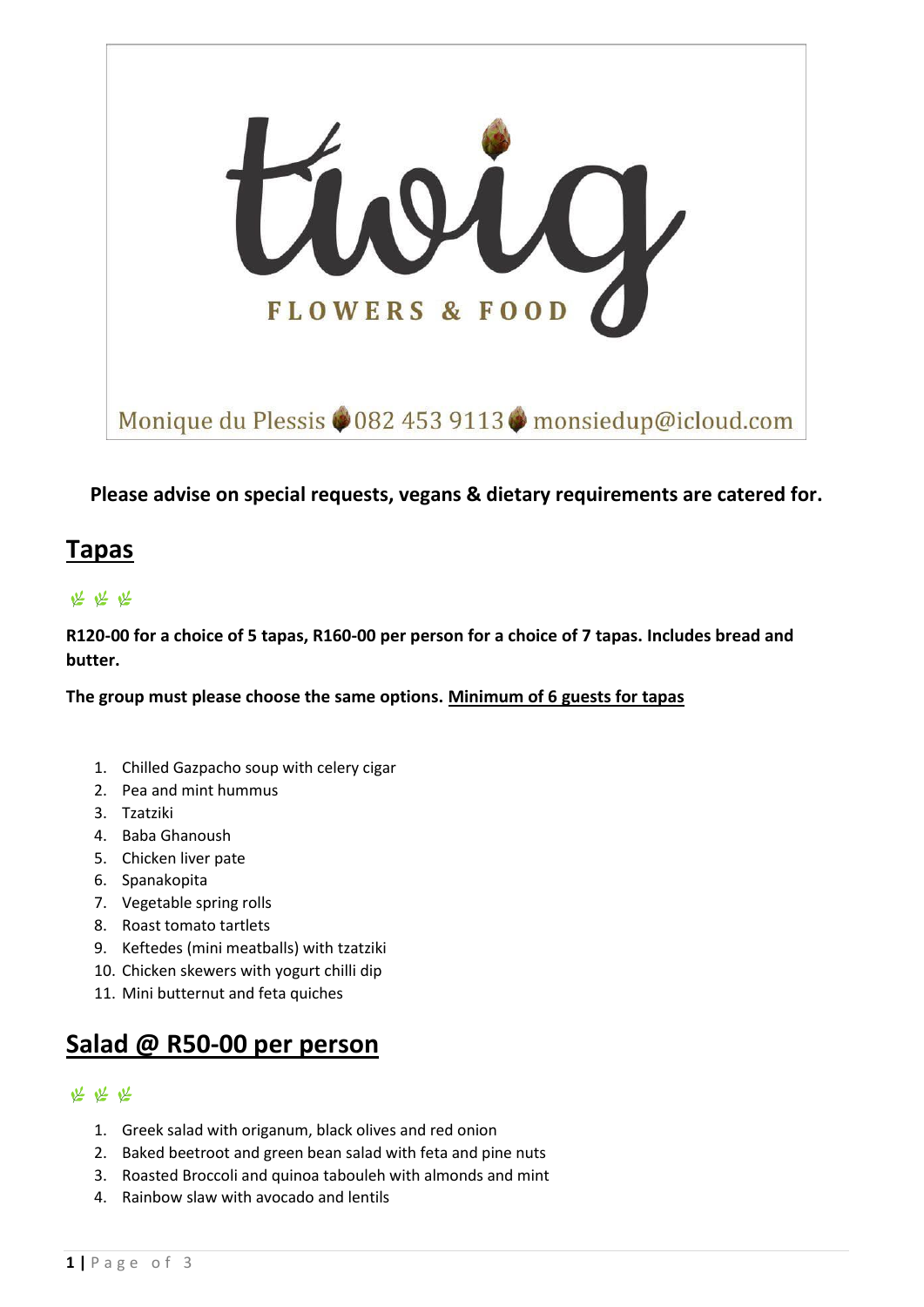

### **Please advise on special requests, vegans & dietary requirements are catered for.**

## **Tapas**

## 坚坚坚

**R120-00 for a choice of 5 tapas, R160-00 per person for a choice of 7 tapas. Includes bread and butter.**

**The group must please choose the same options. Minimum of 6 guests for tapas**

- 1. Chilled Gazpacho soup with celery cigar
- 2. Pea and mint hummus
- 3. Tzatziki
- 4. Baba Ghanoush
- 5. Chicken liver pate
- 6. Spanakopita
- 7. Vegetable spring rolls
- 8. Roast tomato tartlets
- 9. Keftedes (mini meatballs) with tzatziki
- 10. Chicken skewers with yogurt chilli dip
- 11. Mini butternut and feta quiches

# **Salad @ R50-00 per person**

### 坚坚坚

- 1. Greek salad with origanum, black olives and red onion
- 2. Baked beetroot and green bean salad with feta and pine nuts
- 3. Roasted Broccoli and quinoa tabouleh with almonds and mint
- 4. Rainbow slaw with avocado and lentils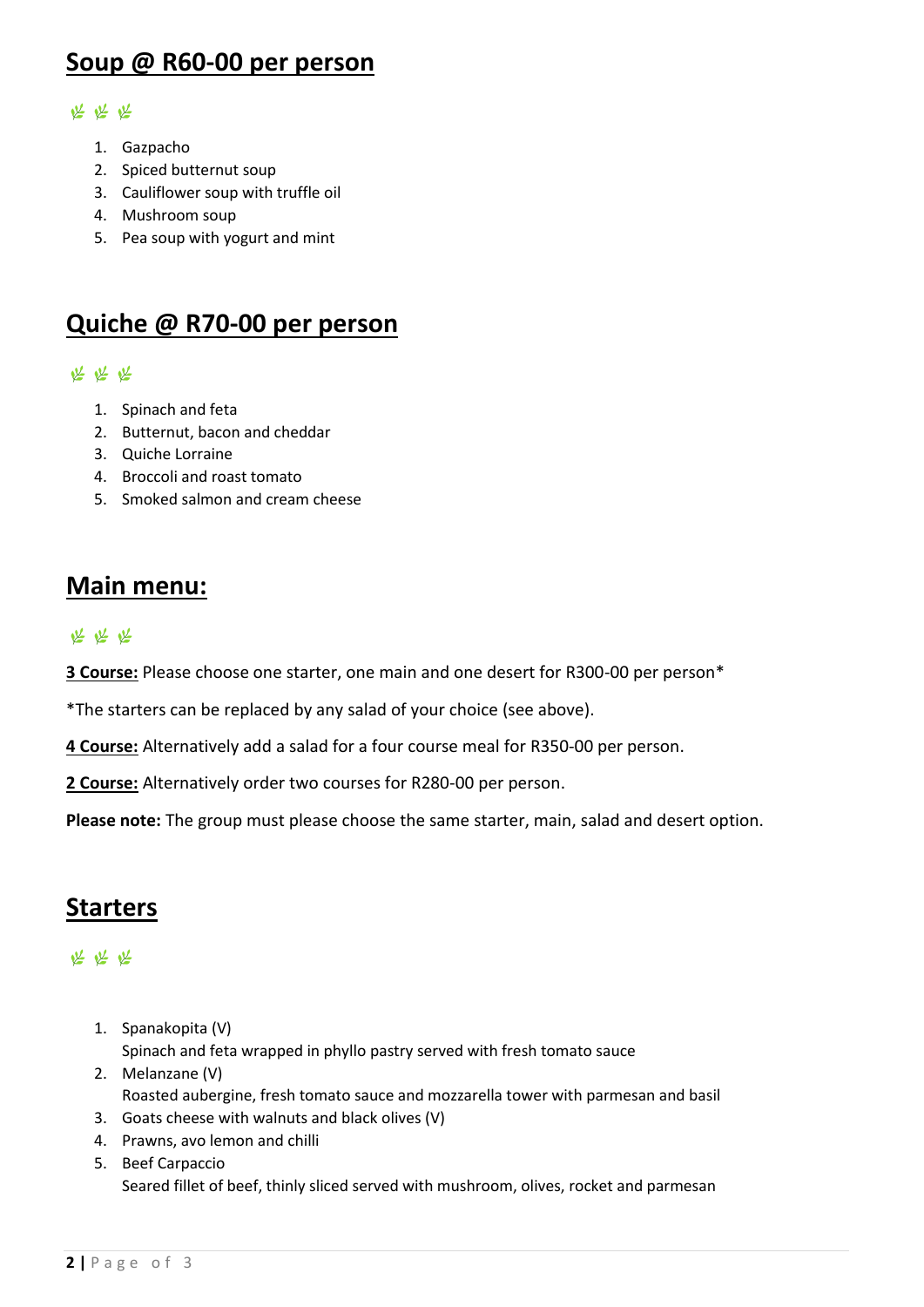# **Soup @ R60-00 per person**

#### 坚坚坚

- 1. Gazpacho
- 2. Spiced butternut soup
- 3. Cauliflower soup with truffle oil
- 4. Mushroom soup
- 5. Pea soup with yogurt and mint

# **Quiche @ R70-00 per person**

#### 坚坚坚

- 1. Spinach and feta
- 2. Butternut, bacon and cheddar
- 3. Quiche Lorraine
- 4. Broccoli and roast tomato
- 5. Smoked salmon and cream cheese

## **Main menu:**

#### 坚坚坚

**3 Course:** Please choose one starter, one main and one desert for R300-00 per person\*

\*The starters can be replaced by any salad of your choice (see above).

**4 Course:** Alternatively add a salad for a four course meal for R350-00 per person.

**2 Course:** Alternatively order two courses for R280-00 per person.

**Please note:** The group must please choose the same starter, main, salad and desert option.

# **Starters**

### 坚坚坚

- 1. Spanakopita (V) Spinach and feta wrapped in phyllo pastry served with fresh tomato sauce
- 2. Melanzane (V) Roasted aubergine, fresh tomato sauce and mozzarella tower with parmesan and basil
- 3. Goats cheese with walnuts and black olives (V)
- 4. Prawns, avo lemon and chilli
- 5. Beef Carpaccio Seared fillet of beef, thinly sliced served with mushroom, olives, rocket and parmesan